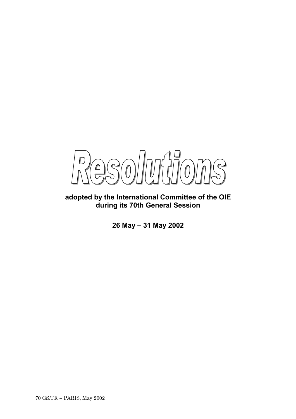

**adopted by the International Committee of the OIE during its 70th General Session** 

**26 May – 31 May 2002**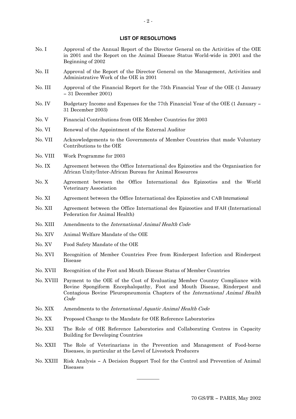#### **LIST OF RESOLUTIONS**

- No. I Approval of the Annual Report of the Director General on the Activities of the OIE in 2001 and the Report on the Animal Disease Status World-wide in 2001 and the Beginning of 2002
- No. II Approval of the Report of the Director General on the Management, Activities and Administrative Work of the OIE in 2001
- No. III Approval of the Financial Report for the 75th Financial Year of the OIE (1 January — 31 December 2001)
- No. IV Budgetary Income and Expenses for the 77th Financial Year of the OIE (1 January 31 December 2003)
- No. V Financial Contributions from OIE Member Countries for 2003
- No. VI Renewal of the Appointment of the External Auditor
- No. VII Acknowledgements to the Governments of Member Countries that made Voluntary Contributions to the OIE
- No. VIII Work Programme for 2003
- No. IX Agreement between the Office International des Epizooties and the Organisation for African Unity/Inter-African Bureau for Animal Resources
- No. X Agreement between the Office International des Epizooties and the World Veterinary Association
- No. XI Agreement between the Office International des Epizooties and CAB International
- No. XII Agreement between the Office International des Epizooties and IFAH (International Federation for Animal Health)
- No. XIII Amendments to the International Animal Health Code
- No. XIV Animal Welfare Mandate of the OIE
- No. XV Food Safety Mandate of the OIE
- No. XVI Recognition of Member Countries Free from Rinderpest Infection and Rinderpest Disease
- No. XVII Recognition of the Foot and Mouth Disease Status of Member Countries
- No. XVIII Payment to the OIE of the Cost of Evaluating Member Country Compliance with Bovine Spongiform Encephalopathy, Foot and Mouth Disease, Rinderpest and Contagious Bovine Pleuropneumonia Chapters of the International Animal Health Code
- No. XIX Amendments to the International Aquatic Animal Health Code
- No. XX Proposed Change to the Mandate for OIE Reference Laboratories
- No. XXI The Role of OIE Reference Laboratories and Collaborating Centres in Capacity Building for Developing Countries
- No. XXII The Role of Veterinarians in the Prevention and Management of Food-borne Diseases, in particular at the Level of Livestock Producers
- No. XXIII Risk Analysis A Decision Support Tool for the Control and Prevention of Animal Diseases

**\_\_\_\_\_\_\_\_\_**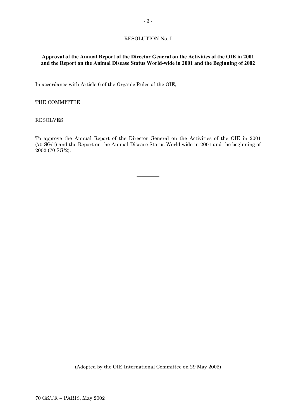## RESOLUTION No. I

# **Approval of the Annual Report of the Director General on the Activities of the OIE in 2001 and the Report on the Animal Disease Status World-wide in 2001 and the Beginning of 2002**

In accordance with Article 6 of the Organic Rules of the OIE,

### THE COMMITTEE

#### RESOLVES

To approve the Annual Report of the Director General on the Activities of the OIE in 2001 (70 SG/1) and the Report on the Animal Disease Status World-wide in 2001 and the beginning of 2002 (70 SG/2).

 $\overline{\phantom{a}}$   $\overline{\phantom{a}}$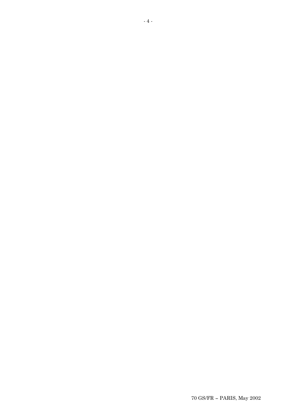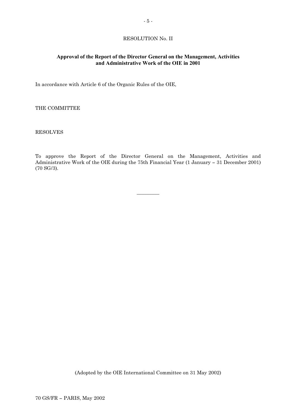# RESOLUTION No. II

# **Approval of the Report of the Director General on the Management, Activities and Administrative Work of the OIE in 2001**

In accordance with Article 6 of the Organic Rules of the OIE,

THE COMMITTEE

RESOLVES

To approve the Report of the Director General on the Management, Activities and Administrative Work of the OIE during the 75th Financial Year (1 January — 31 December 2001) (70 SG/3).

 $\overline{\phantom{a}}$   $\overline{\phantom{a}}$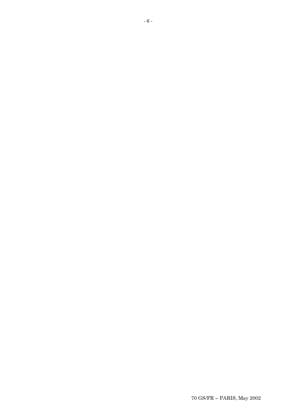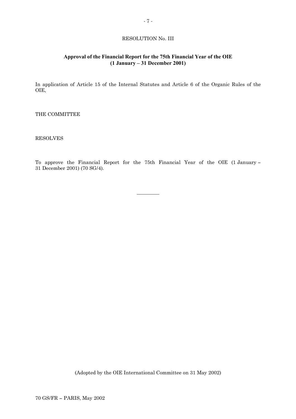## RESOLUTION No. III

# **Approval of the Financial Report for the 75th Financial Year of the OIE (1 January – 31 December 2001)**

In application of Article 15 of the Internal Statutes and Article 6 of the Organic Rules of the OIE,

THE COMMITTEE

RESOLVES

To approve the Financial Report for the 75th Financial Year of the OIE (1 January — 31 December 2001) (70 SG/4).

 $\overline{\phantom{a}}$   $\overline{\phantom{a}}$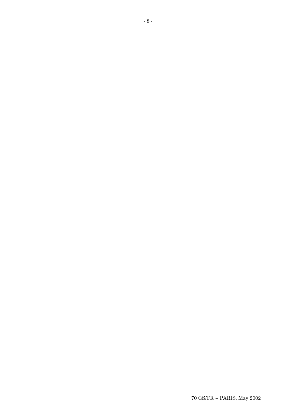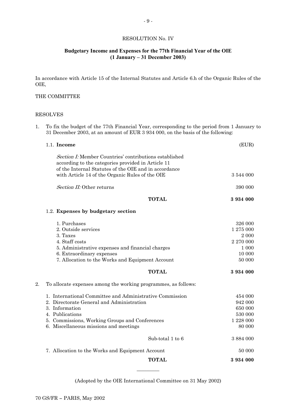### RESOLUTION No. IV

# **Budgetary Income and Expenses for the 77th Financial Year of the OIE (1 January – 31 December 2003)**

In accordance with Article 15 of the Internal Statutes and Article 6.h of the Organic Rules of the OIE,

# THE COMMITTEE

### RESOLVES

1. To fix the budget of the 77th Financial Year, corresponding to the period from 1 January to 31 December 2003, at an amount of EUR 3 934 000, on the basis of the following:

|    | 1.1. Income                                                                                                                                                                                                                            |                  | (EUR)                                                                   |  |  |
|----|----------------------------------------------------------------------------------------------------------------------------------------------------------------------------------------------------------------------------------------|------------------|-------------------------------------------------------------------------|--|--|
|    | Section I: Member Countries' contributions established<br>according to the categories provided in Article 11<br>of the Internal Statutes of the OIE and in accordance<br>with Article 14 of the Organic Rules of the OIE               |                  | 3 544 000                                                               |  |  |
|    | Section II: Other returns                                                                                                                                                                                                              |                  | 390 000                                                                 |  |  |
|    |                                                                                                                                                                                                                                        | <b>TOTAL</b>     | 3 934 000                                                               |  |  |
|    | 1.2. Expenses by budgetary section                                                                                                                                                                                                     |                  |                                                                         |  |  |
|    | 1. Purchases<br>2. Outside services<br>3. Taxes<br>4. Staff costs<br>5. Administrative expenses and financial charges<br>6. Extraordinary expenses<br>7. Allocation to the Works and Equipment Account                                 |                  | 326 000<br>1 275 000<br>2 000<br>2 270 000<br>1 000<br>10 000<br>50 000 |  |  |
| 2. | To allocate expenses among the working programmes, as follows:                                                                                                                                                                         | <b>TOTAL</b>     | 3 934 000                                                               |  |  |
|    | 1. International Committee and Administrative Commission<br>2. Directorate General and Administration<br>3. Information<br>4. Publications<br>5. Commissions, Working Groups and Conferences<br>6. Miscellaneous missions and meetings |                  | 454 000<br>942 000<br>650 000<br>530 000<br>1 228 000<br>80 000         |  |  |
|    |                                                                                                                                                                                                                                        | Sub-total 1 to 6 | 3 884 000                                                               |  |  |
|    | 7. Allocation to the Works and Equipment Account                                                                                                                                                                                       | <b>TOTAL</b>     | 50 000<br>3 934 000                                                     |  |  |
|    |                                                                                                                                                                                                                                        |                  |                                                                         |  |  |

(Adopted by the OIE International Committee on 31 May 2002)

 $\overline{\phantom{a}}$   $\overline{\phantom{a}}$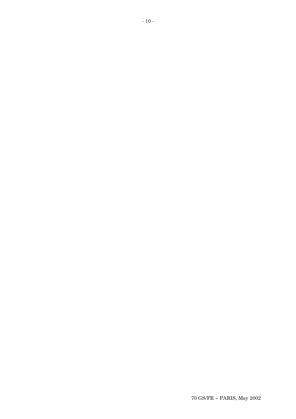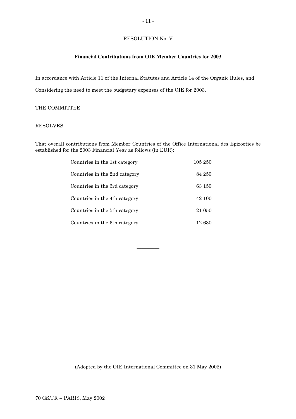# RESOLUTION No. V

### **Financial Contributions from OIE Member Countries for 2003**

In accordance with Article 11 of the Internal Statutes and Article 14 of the Organic Rules, and

Considering the need to meet the budgetary expenses of the OIE for 2003,

### THE COMMITTEE

### RESOLVES

That overall contributions from Member Countries of the Office International des Epizooties be established for the 2003 Financial Year as follows (in EUR):

| Countries in the 1st category             | 105 250 |
|-------------------------------------------|---------|
| Countries in the 2nd category             | 84 250  |
| Countries in the 3rd category             | 63 150  |
| Countries in the 4th category             | 42 100  |
| Countries in the 5 <sup>th</sup> category | 21 050  |
| Countries in the 6 <sup>th</sup> category | 12 630  |

 $\overline{\phantom{a}}$   $\overline{\phantom{a}}$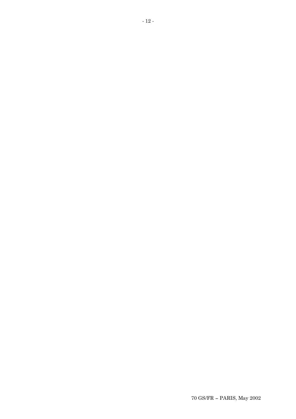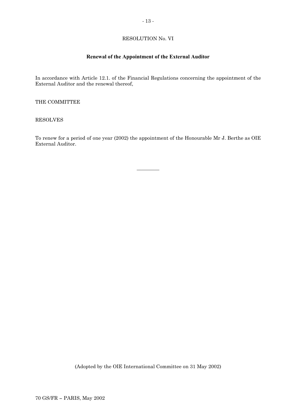# RESOLUTION No. VI

# **Renewal of the Appointment of the External Auditor**

In accordance with Article 12.1. of the Financial Regulations concerning the appointment of the External Auditor and the renewal thereof,

# THE COMMITTEE

RESOLVES

To renew for a period of one year (2002) the appointment of the Honourable Mr J. Berthe as OIE External Auditor.

 $\overline{\phantom{a}}$   $\overline{\phantom{a}}$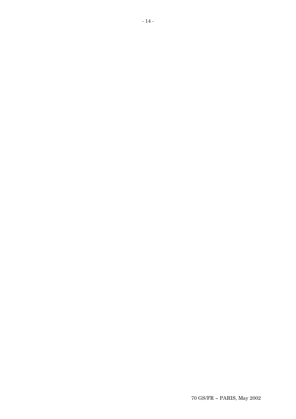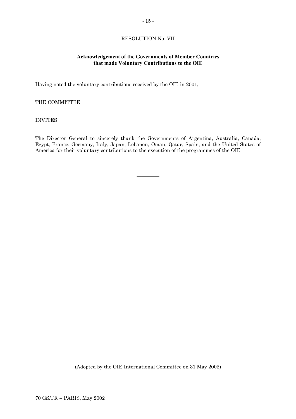# RESOLUTION No. VII

## **Acknowledgement of the Governments of Member Countries that made Voluntary Contributions to the OIE**

Having noted the voluntary contributions received by the OIE in 2001,

### THE COMMITTEE

INVITES

The Director General to sincerely thank the Governments of Argentina, Australia, Canada, Egypt, France, Germany, Italy, Japan, Lebanon, Oman, Qatar, Spain, and the United States of America for their voluntary contributions to the execution of the programmes of the OIE.

 $\overline{\phantom{a}}$   $\overline{\phantom{a}}$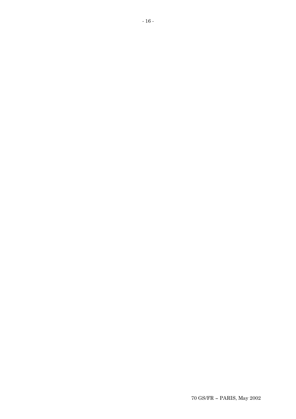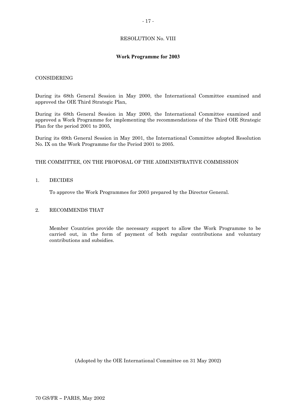## RESOLUTION No. VIII

### **Work Programme for 2003**

### CONSIDERING

During its 68th General Session in May 2000, the International Committee examined and approved the OIE Third Strategic Plan,

During its 68th General Session in May 2000, the International Committee examined and approved a Work Programme for implementing the recommendations of the Third OIE Strategic Plan for the period 2001 to 2005,

During its 69th General Session in May 2001, the International Committee adopted Resolution No. IX on the Work Programme for the Period 2001 to 2005.

#### THE COMMITTEE, ON THE PROPOSAL OF THE ADMINISTRATIVE COMMISSION

#### 1. DECIDES

To approve the Work Programmes for 2003 prepared by the Director General.

### 2. RECOMMENDS THAT

Member Countries provide the necessary support to allow the Work Programme to be carried out, in the form of payment of both regular contributions and voluntary contributions and subsidies.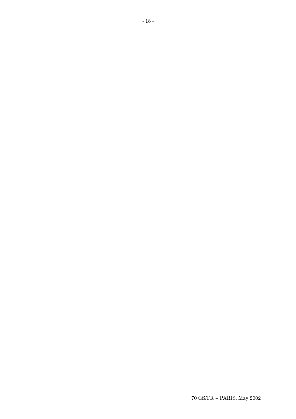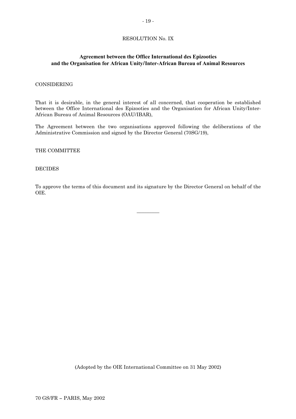# RESOLUTION No. IX

# **Agreement between the Office International des Epizooties and the Organisation for African Unity/Inter-African Bureau of Animal Resources**

### CONSIDERING

That it is desirable, in the general interest of all concerned, that cooperation be established between the Office International des Epizooties and the Organisation for African Unity/Inter-African Bureau of Animal Resources (OAU/IBAR),

The Agreement between the two organisations approved following the deliberations of the Administrative Commission and signed by the Director General (70SG/19),

#### THE COMMITTEE

#### DECIDES

To approve the terms of this document and its signature by the Director General on behalf of the OIE.

 $\overline{\phantom{a}}$   $\overline{\phantom{a}}$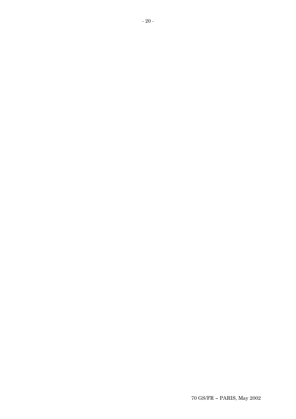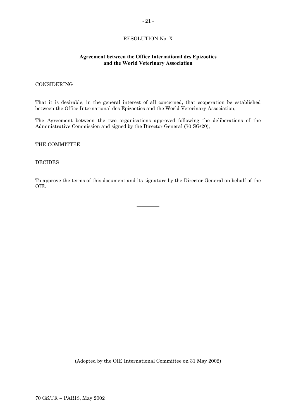# RESOLUTION No. X

## **Agreement between the Office International des Epizooties and the World Veterinary Association**

# CONSIDERING

That it is desirable, in the general interest of all concerned, that cooperation be established between the Office International des Epizooties and the World Veterinary Association,

The Agreement between the two organisations approved following the deliberations of the Administrative Commission and signed by the Director General (70 SG/20),

THE COMMITTEE

### DECIDES

To approve the terms of this document and its signature by the Director General on behalf of the OIE.

 $\overline{\phantom{a}}$   $\overline{\phantom{a}}$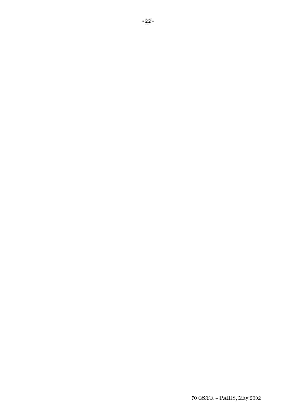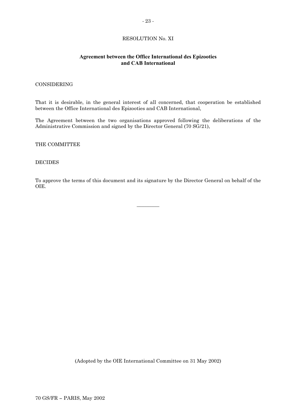## RESOLUTION No. XI

### **Agreement between the Office International des Epizooties and CAB International**

# CONSIDERING

That it is desirable, in the general interest of all concerned, that cooperation be established between the Office International des Epizooties and CAB International,

The Agreement between the two organisations approved following the deliberations of the Administrative Commission and signed by the Director General (70 SG/21),

THE COMMITTEE

### DECIDES

To approve the terms of this document and its signature by the Director General on behalf of the OIE.

 $\overline{\phantom{a}}$   $\overline{\phantom{a}}$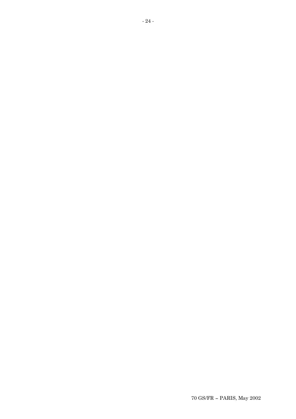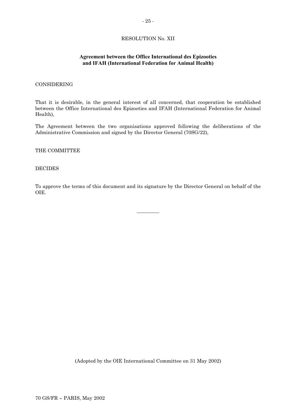# RESOLUTION No. XII

## **Agreement between the Office International des Epizooties and IFAH (International Federation for Animal Health)**

### CONSIDERING

That it is desirable, in the general interest of all concerned, that cooperation be established between the Office International des Epizooties and IFAH (International Federation for Animal Health),

The Agreement between the two organisations approved following the deliberations of the Administrative Commission and signed by the Director General (70SG/22),

#### THE COMMITTEE

#### DECIDES

To approve the terms of this document and its signature by the Director General on behalf of the OIE.

 $\overline{\phantom{a}}$   $\overline{\phantom{a}}$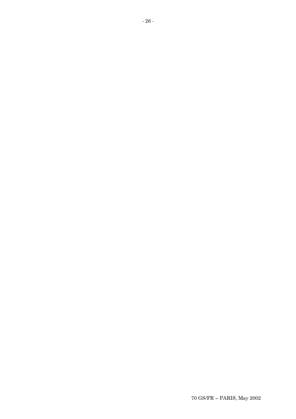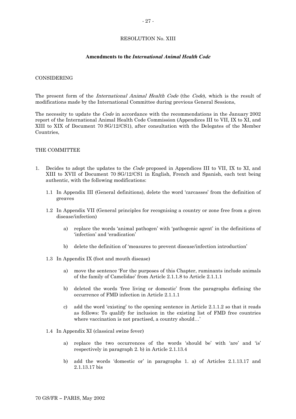## RESOLUTION No. XIII

#### **Amendments to the** *International Animal Health Code*

#### CONSIDERING

The present form of the *International Animal Health Code* (the *Code*), which is the result of modifications made by the International Committee during previous General Sessions,

The necessity to update the Code in accordance with the recommendations in the January 2002 report of the International Animal Health Code Commission (Appendices III to VII, IX to XI, and XIII to XIX of Document 70 SG/12/CS1), after consultation with the Delegates of the Member Countries,

#### THE COMMITTEE

- 1. Decides to adopt the updates to the Code proposed in Appendices III to VII, IX to XI, and XIII to XVII of Document 70 SG/12/CS1 in English, French and Spanish, each text being authentic, with the following modifications:
	- 1.1 In Appendix III (General definitions), delete the word 'carcasses' from the definition of greaves
	- 1.2 In Appendix VII (General principles for recognising a country or zone free from a given disease/infection)
		- a) replace the words 'animal pathogen' with 'pathogenic agent' in the definitions of 'infection' and 'eradication'
		- b) delete the definition of 'measures to prevent disease/infection introduction'
	- 1.3 In Appendix IX (foot and mouth disease)
		- a) move the sentence 'For the purposes of this Chapter, ruminants include animals of the family of Camelidae' from Article 2.1.1.8 to Article 2.1.1.1
		- b) deleted the words 'free living or domestic' from the paragraphs defining the occurrence of FMD infection in Article 2.1.1.1
		- c) add the word 'existing' to the opening sentence in Article 2.1.1.2 so that it reads as follows: To qualify for inclusion in the existing list of FMD free countries where vaccination is not practised, a country should...'
	- 1.4 In Appendix XI (classical swine fever)
		- a) replace the two occurrences of the words 'should be' with 'are' and 'is' respectively in paragraph 2. b) in Article 2.1.13.4
		- b) add the words 'domestic or' in paragraphs 1. a) of Articles 2.1.13.17 and 2.1.13.17 bis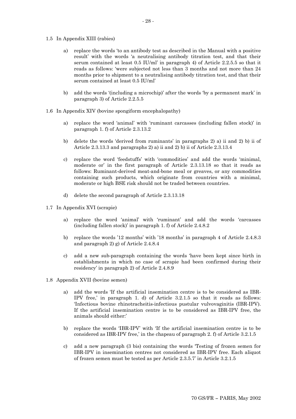- 1.5 In Appendix XIII (rabies)
	- a) replace the words 'to an antibody test as described in the Manual with a positive result' with the words 'a neutralising antibody titration test, and that their serum contained at least 0.5 IU/ml' in paragraph 4) of Article 2.2.5.5 so that it reads as follows: 'were subjected not less than 3 months and not more than 24 months prior to shipment to a neutralising antibody titration test, and that their serum contained at least 0.5 IU/ml'
	- b) add the words '(including a microchip)' after the words 'by a permanent mark' in paragraph 3) of Article 2.2.5.5
- 1.6 In Appendix XIV (bovine spongiform encephalopathy)
	- a) replace the word 'animal' with 'ruminant carcasses (including fallen stock)' in paragraph 1. f) of Article 2.3.13.2
	- b) delete the words 'derived from ruminants' in paragraphs 2) a) ii and 2) b) ii of Article 2.3.13.3 and paragraphs 2) a) ii and 2) b) ii of Article 2.3.13.4
	- c) replace the word 'feedstuffs' with 'commodities' and add the words 'minimal, moderate or' in the first paragraph of Article 2.3.13.18 so that it reads as follows: Ruminant-derived meat-and-bone meal or greaves, or any commodities containing such products, which originate from countries with a minimal, moderate or high BSE risk should not be traded between countries.
	- d) delete the second paragraph of Article 2.3.13.18
- 1.7 In Appendix XVI (scrapie)
	- a) replace the word 'animal' with 'ruminant' and add the words 'carcasses (including fallen stock)' in paragraph 1. f) of Article 2.4.8.2
	- b) replace the words '12 months' with '18 months' in paragraph 4 of Article 2.4.8.3 and paragraph 2) g) of Article 2.4.8.4
	- c) add a new sub-paragraph containing the words 'have been kept since birth in establishments in which no case of scrapie had been confirmed during their residency' in paragraph 2) of Article 2.4.8.9
- 1.8 Appendix XVII (bovine semen)
	- a) add the words 'If the artificial insemination centre is to be considered as IBR-IPV free,' in paragraph 1. d) of Article 3.2.1.5 so that it reads as follows: 'Infectious bovine rhinotracheitis-infectious pustular vulvovaginitis (IBR-IPV). If the artificial insemination centre is to be considered as IBR-IPV free, the animals should either:'
	- b) replace the words 'IBR-IPV' with 'If the artificial insemination centre is to be considered as IBR-IPV free,' in the chapeau of paragraph 2. f) of Article 3.2.1.5
	- c) add a new paragraph (3 bis) containing the words 'Testing of frozen semen for IBR-IPV in insemination centres not considered as IBR-IPV free. Each aliquot of frozen semen must be tested as per Article 2.3.5.7' in Article 3.2.1.5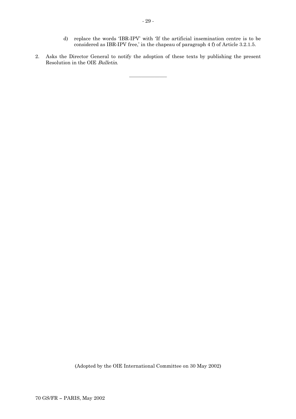- d) replace the words 'IBR-IPV' with 'If the artificial insemination centre is to be considered as IBR-IPV free,' in the chapeau of paragraph 4 f) of Article 3.2.1.5.
- 2. Asks the Director General to notify the adoption of these texts by publishing the present Resolution in the OIE Bulletin.

 $\frac{1}{2}$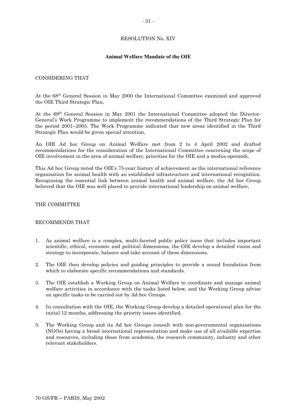## RESOLUTION No. XIV

### **Animal Welfare Mandate of the OIE**

### CONSIDERING THAT

At the 68th General Session in May 2000 the International Committee examined and approved the OIE Third Strategic Plan,

At the 69<sup>th</sup> General Session in May 2001 the International Committee adopted the Director-General's Work Programme to implement the recommendations of the Third Strategic Plan for the period 2001—2005. The Work Programme indicated that new areas identified in the Third Strategic Plan would be given special attention,

An OIE Ad hoc Group on Animal Welfare met from 2 to 4 April 2002 and drafted recommendations for the consideration of the International Committee concerning the scope of OIE involvement in the area of animal welfare, priorities for the OIE and a modus operandi,

This Ad hoc Group noted the OIE's 75-year history of achievement as the international reference organisation for animal health with an established infrastructure and international recognition. Recognising the essential link between animal health and animal welfare, the Ad hoc Group believed that the OIE was well placed to provide international leadership on animal welfare,

#### THE COMMITTEE

#### RECOMMENDS THAT

- 1. As animal welfare is a complex, multi-faceted public policy issue that includes important scientific, ethical, economic and political dimensions, the OIE develop a detailed vision and strategy to incorporate, balance and take account of these dimensions.
- 2. The OIE then develop policies and guiding principles to provide a sound foundation from which to elaborate specific recommendations and standards.
- 3. The OIE establish a Working Group on Animal Welfare to coordinate and manage animal welfare activities in accordance with the tasks listed below, and the Working Group advise on specific tasks to be carried out by Ad hoc Groups.
- 4. In consultation with the OIE, the Working Group develop a detailed operational plan for the initial 12 months, addressing the priority issues identified.
- 5. The Working Group and its Ad hoc Groups consult with non-governmental organisations (NGOs) having a broad international representation and make use of all available expertise and resources, including those from academia, the research community, industry and other relevant stakeholders.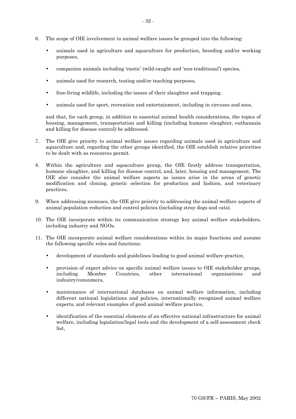- 6. The scope of OIE involvement in animal welfare issues be grouped into the following:
	- animals used in agriculture and aquaculture for production, breeding and/or working purposes,
	- companion animals including 'exotic' (wild-caught and 'non-traditional') species,
	- animals used for research, testing and/or teaching purposes,
	- free-living wildlife, including the issues of their slaughter and trapping,
	- animals used for sport, recreation and entertainment, including in circuses and zoos,

and that, for each group, in addition to essential animal health considerations, the topics of housing, management, transportation and killing (including humane slaughter, euthanasia and killing for disease control) be addressed.

- 7. The OIE give priority to animal welfare issues regarding animals used in agriculture and aquaculture and, regarding the other groups identified, the OIE establish relative priorities to be dealt with as resources permit.
- 8. Within the agriculture and aquaculture group, the OIE firstly address transportation, humane slaughter, and killing for disease control, and, later, housing and management. The OIE also consider the animal welfare aspects as issues arise in the areas of genetic modification and cloning, genetic selection for production and fashion, and veterinary practices.
- 9. When addressing zoonoses, the OIE give priority to addressing the animal welfare aspects of animal population reduction and control policies (including stray dogs and cats).
- 10. The OIE incorporate within its communication strategy key animal welfare stakeholders, including industry and NGOs.
- 11. The OIE incorporate animal welfare considerations within its major functions and assume the following specific roles and functions:
	- development of standards and guidelines leading to good animal welfare practice,
	- provision of expert advice on specific animal welfare issues to OIE stakeholder groups, including Member Countries, other international organisations and industry/consumers,
	- maintenance of international databases on animal welfare information, including different national legislations and policies, internationally recognised animal welfare experts, and relevant examples of good animal welfare practice,
	- identification of the essential elements of an effective national infrastructure for animal welfare, including legislation/legal tools and the development of a self-assessment check list,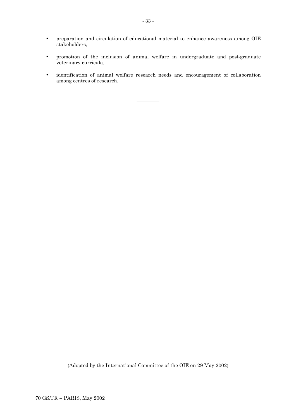- preparation and circulation of educational material to enhance awareness among OIE stakeholders,
- promotion of the inclusion of animal welfare in undergraduate and post-graduate veterinary curricula,
- identification of animal welfare research needs and encouragement of collaboration among centres of research.

 $\overline{\phantom{a}}$ 

(Adopted by the International Committee of the OIE on 29 May 2002)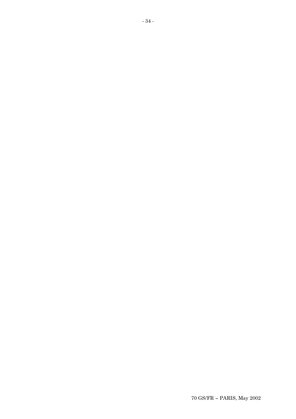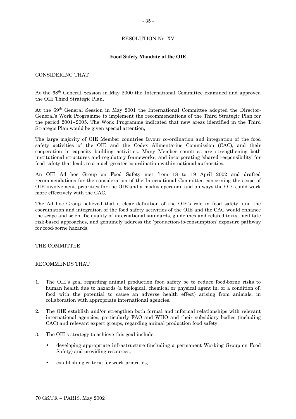# RESOLUTION No. XV

## **Food Safety Mandate of the OIE**

## CONSIDERING THAT

At the 68th General Session in May 2000 the International Committee examined and approved the OIE Third Strategic Plan,

At the 69<sup>th</sup> General Session in May 2001 the International Committee adopted the Director-General's Work Programme to implement the recommendations of the Third Strategic Plan for the period 2001—2005. The Work Programme indicated that new areas identified in the Third Strategic Plan would be given special attention,

The large majority of OIE Member countries favour co-ordination and integration of the food safety activities of the OIE and the Codex Alimentarius Commission (CAC), and their cooperation in capacity building activities. Many Member countries are strengthening both institutional structures and regulatory frameworks, and incorporating 'shared responsibility' for food safety that leads to a much greater co-ordination within national authorities,

An OIE Ad hoc Group on Food Safety met from 18 to 19 April 2002 and drafted recommendations for the consideration of the International Committee concerning the scope of OIE involvement, priorities for the OIE and a modus operandi, and on ways the OIE could work more effectively with the CAC,

The Ad hoc Group believed that a clear definition of the OIE's role in food safety, and the coordination and integration of the food safety activities of the OIE and the CAC would enhance the scope and scientific quality of international standards, guidelines and related texts, facilitate risk-based approaches, and genuinely address the 'production-to-consumption' exposure pathway for food-borne hazards,

#### THE COMMITTEE

#### RECOMMENDS THAT

- 1. The OIE's goal regarding animal production food safety be to reduce food-borne risks to human health due to hazards (a biological, chemical or physical agent in, or a condition of, food with the potential to cause an adverse health effect) arising from animals, in collaboration with appropriate international agencies.
- 2. The OIE establish and/or strengthen both formal and informal relationships with relevant international agencies, particularly FAO and WHO and their subsidiary bodies (including CAC) and relevant expert groups, regarding animal production food safety.
- 3. The OIE's strategy to achieve this goal include:
	- developing appropriate infrastructure (including a permanent Working Group on Food Safety) and providing resources,
	- establishing criteria for work priorities,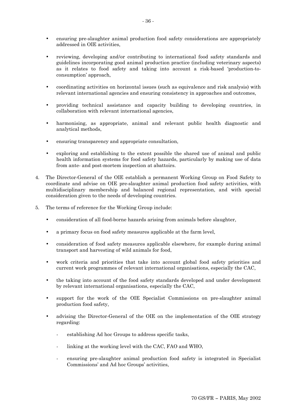- ensuring pre-slaughter animal production food safety considerations are appropriately addressed in OIE activities,
- reviewing, developing and/or contributing to international food safety standards and guidelines incorporating good animal production practice (including veterinary aspects) as it relates to food safety and taking into account a risk-based 'production-toconsumption' approach,
- coordinating activities on horizontal issues (such as equivalence and risk analysis) with relevant international agencies and ensuring consistency in approaches and outcomes,
- providing technical assistance and capacity building to developing countries, in collaboration with relevant international agencies,
- harmonising, as appropriate, animal and relevant public health diagnostic and analytical methods,
- ensuring transparency and appropriate consultation,
- exploring and establishing to the extent possible the shared use of animal and public health information systems for food safety hazards, particularly by making use of data from ante- and post-mortem inspection at abattoirs.
- 4. The Director-General of the OIE establish a permanent Working Group on Food Safety to coordinate and advise on OIE pre-slaughter animal production food safety activities, with multidisciplinary membership and balanced regional representation, and with special consideration given to the needs of developing countries.
- 5. The terms of reference for the Working Group include:
	- consideration of all food-borne hazards arising from animals before slaughter,
	- a primary focus on food safety measures applicable at the farm level,
	- consideration of food safety measures applicable elsewhere, for example during animal transport and harvesting of wild animals for food,
	- work criteria and priorities that take into account global food safety priorities and current work programmes of relevant international organisations, especially the CAC,
	- the taking into account of the food safety standards developed and under development by relevant international organisations, especially the CAC,
	- support for the work of the OIE Specialist Commissions on pre-slaughter animal production food safety,
	- advising the Director-General of the OIE on the implementation of the OIE strategy regarding:
		- − establishing Ad hoc Groups to address specific tasks,
		- linking at the working level with the CAC, FAO and WHO,
		- − ensuring pre-slaughter animal production food safety is integrated in Specialist Commissions' and Ad hoc Groups' activities,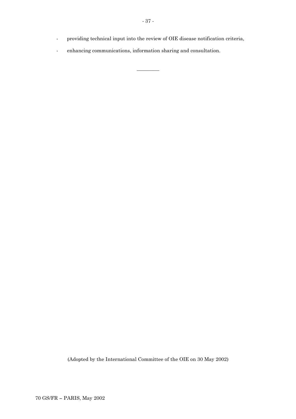providing technical input into the review of OIE disease notification criteria,

 $\overline{\phantom{a}}$   $\overline{\phantom{a}}$ 

− enhancing communications, information sharing and consultation.

(Adopted by the International Committee of the OIE on 30 May 2002)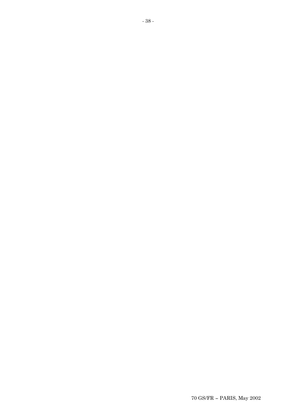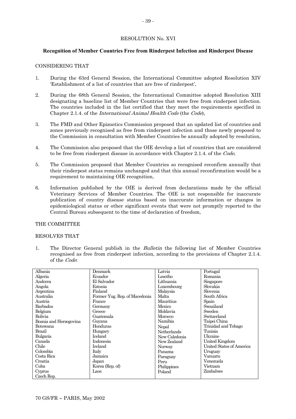# RESOLUTION No. XVI

## **Recognition of Member Countries Free from Rinderpest Infection and Rinderpest Disease**

#### CONSIDERING THAT

- 1. During the 63rd General Session, the International Committee adopted Resolution XIV 'Establishment of a list of countries that are free of rinderpest',
- 2. During the 68th General Session, the International Committee adopted Resolution XIII designating a baseline list of Member Countries that were free from rinderpest infection. The countries included in the list certified that they meet the requirements specified in Chapter 2.1.4. of the International Animal Health Code (the Code),
- 3. The FMD and Other Epizootics Commission proposed that an updated list of countries and zones previously recognised as free from rinderpest infection and those newly proposed to the Commission in consultation with Member Countries be annually adopted by resolution,
- 4. The Commission also proposed that the OIE develop a list of countries that are considered to be free from rinderpest disease in accordance with Chapter 2.1.4. of the Code,
- 5. The Commission proposed that Member Countries so recognised reconfirm annually that their rinderpest status remains unchanged and that this annual reconfirmation would be a requirement to maintaining OIE recognition,
- 6. Information published by the OIE is derived from declarations made by the official Veterinary Services of Member Countries. The OIE is not responsible for inaccurate publication of country disease status based on inaccurate information or changes in epidemiological status or other significant events that were not promptly reported to the Central Bureau subsequent to the time of declaration of freedom,

#### THE COMMITTEE

#### RESOLVES THAT

1. The Director General publish in the [Bulletin](http://www.oie.int/eng/publicat/en_bulletin.htm) the following list of Member Countries recognised as free from rinderpest infection, according to the provisions of Chapter 2.1.4. of the Code:

| Albania                | Denmark                       | Latvia        | Portugal                 |
|------------------------|-------------------------------|---------------|--------------------------|
| Algeria                | Ecuador                       | Lesotho       | Romania                  |
| Andorra                | El Salvador                   | Lithuania     | Singapore                |
| Angola                 | Estonia                       | Luxembourg    | Slovakia                 |
| Argentina              | Finland                       | Malaysia      | Slovenia                 |
| Australia              | Former Yug. Rep. of Macedonia | Malta         | South Africa             |
| Austria                | France                        | Mauritius     | Spain                    |
| Barbados               | Germany                       | Mexico        | Swaziland                |
| Belgium                | Greece                        | Moldavia      | Sweden                   |
| Bolivia                | Guatemala                     | Morocco       | Switzerland              |
| Bosnia and Herzegovina | Guyana                        | Namibia       | Taipei China             |
| Botswana               | Honduras                      | Nepal         | Trinidad and Tobago      |
| Brazil                 | Hungary                       | Netherlands   | Tunisia                  |
| Bulgaria               | Iceland                       | New Caledonia | Ukraine                  |
| Canada                 | Indonesia                     | New Zealand   | United Kingdom           |
| Chile                  | Ireland                       | Norway        | United States of America |
| Colombia               | Italy                         | Panama        | Uruguay                  |
| Costa Rica             | Jamaica                       | Paraguay      | Vanuatu                  |
| Croatia                | Japan                         | Peru          | Venezuela                |
| Cuba                   | Korea (Rep. of)               | Philippines   | Vietnam                  |
| Cyprus                 | Laos                          | Poland        | Zimbabwe                 |
| Czech Rep.             |                               |               |                          |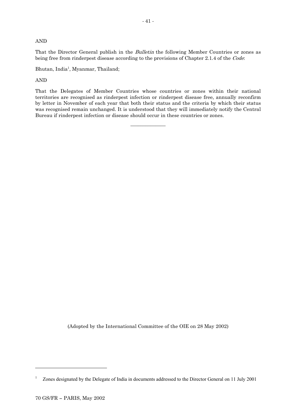#### AND

That the Director General publish in the *Bulletin* the following Member Countries or zones as being free from rinderpest disease according to the provisions of Chapter 2.1.4 of the Code:

Bhutan, India<sup>1</sup>, Myanmar, Thailand;

#### AND

That the Delegates of Member Countries whose countries or zones within their national territories are recognised as rinderpest infection or rinderpest disease free, annually reconfirm by letter in November of each year that both their status and the criteria by which their status was recognised remain unchanged. It is understood that they will immediately notify the Central Bureau if rinderpest infection or disease should occur in these countries or zones.

\_\_\_\_\_\_\_\_\_\_\_\_\_\_

(Adopted by the International Committee of the OIE on 28 May 2002)

l

<span id="page-40-0"></span><sup>1</sup> Zones designated by the Delegate of India in documents addressed to the Director General on 11 July 2001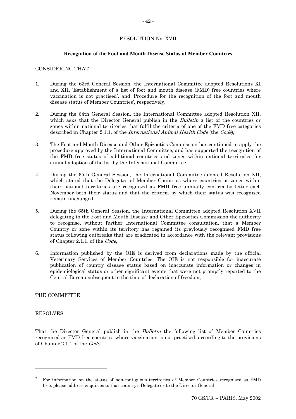## RESOLUTION No. XVII

### **Recognition of the Foot and Mouth Disease Status of Member Countries**

#### CONSIDERING THAT

- 1. During the 63rd General Session, the International Committee adopted Resolutions XI and XII, 'Establishment of a list of foot and mouth disease (FMD) free countries where vaccination is not practised', and 'Procedure for the recognition of the foot and mouth disease status of Member Countries', respectively,
- 2. During the 64th General Session, the International Committee adopted Resolution XII, which asks that the Director General publish in the *Bulletin* a list of the countries or zones within national territories that fulfil the criteria of one of the FMD free categories described in Chapter 2.1.1. of the *International Animal Health Code* (the *Code*),
- 3. The Foot and Mouth Disease and Other Epizootics Commission has continued to apply the procedure approved by the International Committee, and has supported the recognition of the FMD free status of additional countries and zones within national territories for annual adoption of the list by the International Committee,
- 4. During the 65th General Session, the International Committee adopted Resolution XII, which stated that the Delegates of Member Countries where countries or zones within their national territories are recognised as FMD free annually confirm by letter each November both their status and that the criteria by which their status was recognised remain unchanged,
- 5. During the 65th General Session, the International Committee adopted Resolution XVII delegating to the Foot and Mouth Disease and Other Epizootics Commission the authority to recognise, without further International Committee consultation, that a Member Country or zone within its territory has regained its previously recognised FMD free status following outbreaks that are eradicated in accordance with the relevant provisions of Chapter 2.1.1. of the Code,
- 6. Information published by the OIE is derived from declarations made by the official Veterinary Services of Member Countries. The OIE is not responsible for inaccurate publication of country disease status based on inaccurate information or changes in epidemiological status or other significant events that were not promptly reported to the Central Bureau subsequent to the time of declaration of freedom,

#### THE COMMITTEE

### RESOLVES

l

That the Director General publish in the *Bulletin* the following list of Member Countries recognised as FMD free countries where vaccination is not practised, according to the provisions of Chapter [2](#page-41-0).1.1 of the  $Code^2$ :

<span id="page-41-0"></span><sup>2</sup> For information on the status of non-contiguous territories of Member Countries recognised as FMD free, please address enquiries to that country's Delegate or to the Director General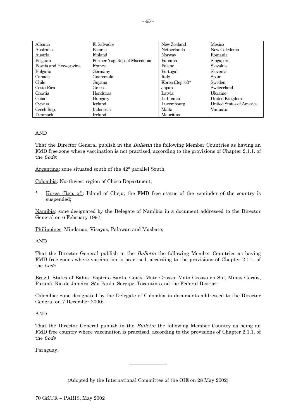| Albania                | El Salvador                   | New Zealand         | Mexico                   |
|------------------------|-------------------------------|---------------------|--------------------------|
| Australia              | Estonia                       | <b>Netherlands</b>  | New Caledonia            |
| Austria                | Finland                       | Norway              | Romania                  |
| Belgium                | Former Yug. Rep. of Macedonia | Panama              | Singapore                |
| Bosnia and Herzegovina | France                        | Poland              | Slovakia                 |
| Bulgaria               | Germany                       | Portugal            | Slovenia                 |
| Canada                 | Guatemala                     | Italy               | Spain                    |
| Chile                  | Guyana                        | Korea (Rep. of) $*$ | Sweden                   |
| Costa Rica             | Greece                        | Japan               | Switzerland              |
| Croatia                | Honduras                      | Latvia              | <b>Ukraine</b>           |
| Cuba                   | Hungary                       | Lithuania           | United Kingdom           |
| Cyprus                 | <b>Iceland</b>                | Luxembourg          | United States of America |
| Czech Rep.             | Indonesia                     | Malta               | Vanuatu                  |
| Denmark                | Ireland                       | Mauritius           |                          |

### AND

That the Director General publish in the *Bulletin* the following Member Countries as having an FMD free zone where vaccination is not practised, according to the provisions of Chapter 2.1.1. of the Code:

Argentina: zone situated south of the 42° parallel South;

Colombia: Northwest region of Choco Department;

Korea (Rep. of): Island of Cheju; the FMD free status of the reminder of the country is suspended;

Namibia: zone designated by the Delegate of Namibia in a document addressed to the Director General on 6 February 1997;

Philippines: Mindanao, Visayas, Palawan and Masbate;

AND

That the Director General publish in the *Bulletin* the following Member Countries as having FMD free zones where vaccination is practised, according to the provisions of Chapter 2.1.1. of the Code

Brazil: States of Bahia, Espírito Santo, Goiás, Mato Grosso, Mato Grosso do Sul, Minas Gerais, Paraná, Rio de Janeiro, São Paulo, Sergipe, Tocantins and the Federal District;

Colombia: zone designated by the Delegate of Colombia in documents addressed to the Director General on 7 December 2000;

#### AND

That the Director General publish in the *Bulletin* the following Member Country as being an FMD free country where vaccination is practised, according to the provisions of Chapter 2.1.1. of the Code

Paraguay.

(Adopted by the International Committee of the OIE on 28 May 2002)

 $\overline{\phantom{a}}$  , where the contract of  $\overline{\phantom{a}}$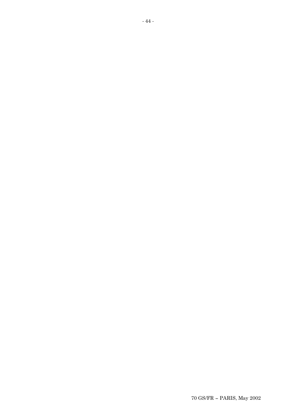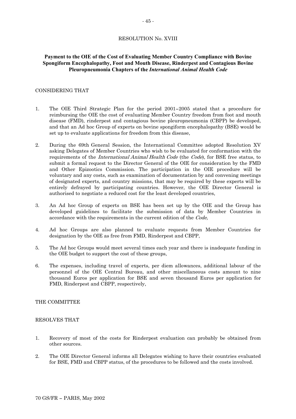## RESOLUTION No. XVIII

# **Payment to the OIE of the Cost of Evaluating Member Country Compliance with Bovine Spongiform Encephalopathy, Foot and Mouth Disease, Rinderpest and Contagious Bovine Pleuropneumonia Chapters of the** *International Animal Health Code*

#### CONSIDERING THAT

- 1. The OIE Third Strategic Plan for the period 2001—2005 stated that a procedure for reimbursing the OIE the cost of evaluating Member Country freedom from foot and mouth disease (FMD), rinderpest and contagious bovine pleuropneumonia (CBPP) be developed, and that an Ad hoc Group of experts on bovine spongiform encephalopathy (BSE) would be set up to evaluate applications for freedom from this disease,
- 2. During the 69th General Session, the International Committee adopted Resolution XV asking Delegates of Member Countries who wish to be evaluated for conformation with the requirements of the *International Animal Health Code* (the *Code*), for BSE free status, to submit a formal request to the Director General of the OIE for consideration by the FMD and Other Epizootics Commission. The participation in the OIE procedure will be voluntary and any costs, such as examination of documentation by and convening meetings of designated experts, and country missions, that may be required by these experts will be entirely defrayed by participating countries. However, the OIE Director General is authorised to negotiate a reduced cost for the least developed countries,
- 3. An Ad hoc Group of experts on BSE has been set up by the OIE and the Group has developed guidelines to facilitate the submission of data by Member Countries in accordance with the requirements in the current edition of the Code,
- 4. Ad hoc Groups are also planned to evaluate requests from Member Countries for designation by the OIE as free from FMD, Rinderpest and CBPP,
- 5. The Ad hoc Groups would meet several times each year and there is inadequate funding in the OIE budget to support the cost of these groups,
- 6. The expenses, including travel of experts, per diem allowances, additional labour of the personnel of the OIE Central Bureau, and other miscellaneous costs amount to nine thousand Euros per application for BSE and seven thousand Euros per application for FMD, Rinderpest and CBPP, respectively,

### THE COMMITTEE

#### RESOLVES THAT

- 1. Recovery of most of the costs for Rinderpest evaluation can probably be obtained from other sources.
- 2. The OIE Director General informs all Delegates wishing to have their countries evaluated for BSE, FMD and CBPP status, of the procedures to be followed and the costs involved.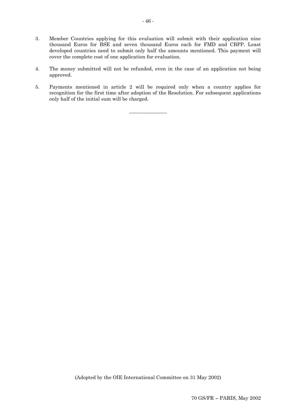- 3. Member Countries applying for this evaluation will submit with their application nine thousand Euros for BSE and seven thousand Euros each for FMD and CBPP. Least developed countries need to submit only half the amounts mentioned. This payment will cover the complete cost of one application for evaluation.
- 4. The money submitted will not be refunded, even in the case of an application not being approved.
- 5. Payments mentioned in article 2 will be required only when a country applies for recognition for the first time after adoption of the Resolution. For subsequent applications only half of the initial sum will be charged.

 $\overline{\phantom{a}}$  , where  $\overline{\phantom{a}}$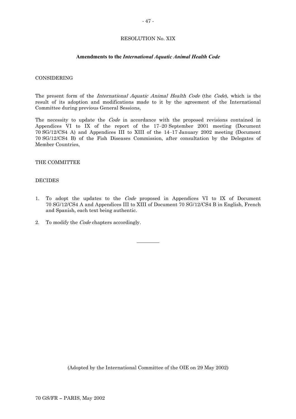### RESOLUTION No. XIX

#### **Amendments to the** *International Aquatic Animal Health Code*

#### CONSIDERING

The present form of the International Aquatic Animal Health Code (the Code), which is the result of its adoption and modifications made to it by the agreement of the International Committee during previous General Sessions,

The necessity to update the *Code* in accordance with the proposed revisions contained in Appendices VI to IX of the report of the 17–20 September 2001 meeting (Document 70 SG/12/CS4 A) and Appendices III to XIII of the 14–17 January 2002 meeting (Document 70 SG/12/CS4 B) of the Fish Diseases Commission, after consultation by the Delegates of Member Countries,

#### THE COMMITTEE

#### DECIDES

1. To adopt the updates to the Code proposed in Appendices VI to IX of Document 70 SG/12/CS4 A and Appendices III to XIII of Document 70 SG/12/CS4 B in English, French and Spanish, each text being authentic.

 $\overline{\phantom{a}}$   $\overline{\phantom{a}}$ 

2. To modify the *Code* chapters accordingly.

(Adopted by the International Committee of the OIE on 29 May 2002)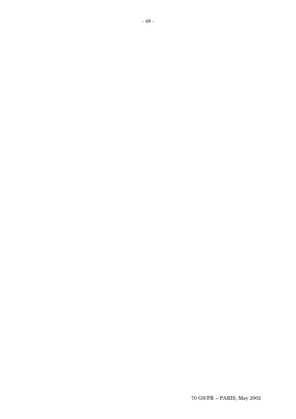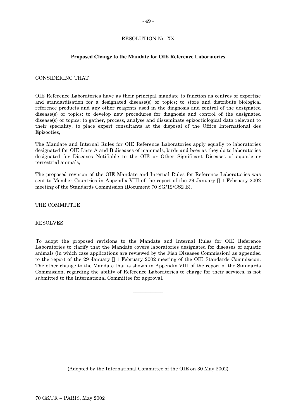#### RESOLUTION No. XX

#### **Proposed Change to the Mandate for OIE Reference Laboratories**

#### CONSIDERING THAT

OIE Reference Laboratories have as their principal mandate to function as centres of expertise and standardisation for a designated disease(s) or topics; to store and distribute biological reference products and any other reagents used in the diagnosis and control of the designated disease(s) or topics; to develop new procedures for diagnosis and control of the designated disease(s) or topics; to gather, process, analyse and disseminate epizootiological data relevant to their speciality; to place expert consultants at the disposal of the Office International des Epizooties,

The Mandate and Internal Rules for OIE Reference Laboratories apply equally to laboratories designated for OIE Lists A and B diseases of mammals, birds and bees as they do to laboratories designated for Diseases Notifiable to the OIE or Other Significant Diseases of aquatic or terrestrial animals,

The proposed revision of the OIE Mandate and Internal Rules for Reference Laboratories was sent to Member Countries in Appendix VIII of the report of the 29 January ! 1 February 2002 meeting of the Standards Commission (Document 70 SG/12/CS2 B),

THE COMMITTEE

RESOLVES

To adopt the proposed revisions to the Mandate and Internal Rules for OIE Reference Laboratories to clarify that the Mandate covers laboratories designated for diseases of aquatic animals (in which case applications are reviewed by the Fish Diseases Commission) as appended to the report of the 29 January 1 February 2002 meeting of the OIE Standards Commission. The other change to the Mandate that is shown in Appendix VIII of the report of the Standards Commission, regarding the ability of Reference Laboratories to charge for their services, is not submitted to the International Committee for approval.

 $\overline{\phantom{a}}$  , where  $\overline{\phantom{a}}$ 

(Adopted by the International Committee of the OIE on 30 May 2002)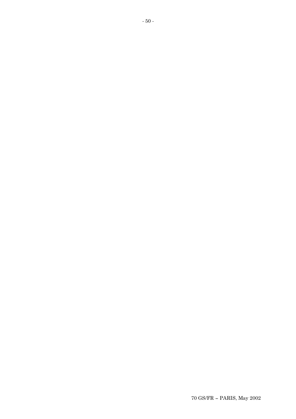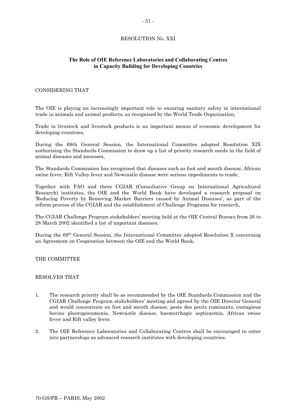# RESOLUTION No. XXI

# **The Role of OIE Reference Laboratories and Collaborating Centres in Capacity Building for Developing Countries**

### CONSIDERING THAT

The OIE is playing an increasingly important role in ensuring sanitary safety in international trade in animals and animal products, as recognised by the World Trade Organisation,

Trade in livestock and livestock products is an important means of economic development for developing countries,

During the 69th General Session, the International Committee adopted Resolution XIX authorising the Standards Commission to draw up a list of priority research needs in the field of animal diseases and zoonoses,

The Standards Commission has recognised that diseases such as foot and mouth disease, African swine fever, Rift Valley fever and Newcastle disease were serious impediments to trade,

Together with FAO and three CGIAR (Consultative Group on International Agricultural Research) institutes, the OIE and the World Bank have developed a research proposal on 'Reducing Poverty by Removing Market Barriers caused by Animal Diseases', as part of the reform process of the CGIAR and the establishment of Challenge Programs for research,

The CGIAR Challenge Program stakeholders' meeting held at the OIE Central Bureau from 26 to 28 March 2002 identified a list of important diseases,

During the 69<sup>th</sup> General Session, the International Committee adopted Resolution X concerning an Agreement on Cooperation between the OIE and the World Bank,

THE COMMITTEE

#### RESOLVES THAT

- 1. The research priority shall be as recommended by the OIE Standards Commission and the CGIAR Challenge Program stakeholders' meeting and agreed by the OIE Director General and would concentrate on foot and mouth disease, peste des petits ruminants, contagious bovine plueropneumonia, Newcastle disease, haemorrhagic septicaemia, African swine fever and Rift valley fever.
- 2. The OIE Reference Laboratories and Collaborating Centres shall be encouraged to enter into partnerships as advanced research institutes with developing countries.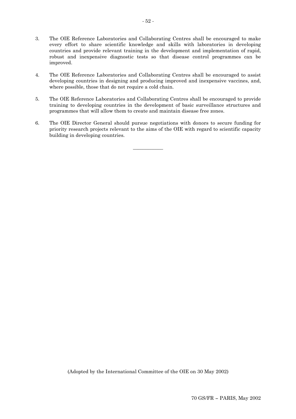- 3. The OIE Reference Laboratories and Collaborating Centres shall be encouraged to make every effort to share scientific knowledge and skills with laboratories in developing countries and provide relevant training in the development and implementation of rapid, robust and inexpensive diagnostic tests so that disease control programmes can be improved.
- 4. The OIE Reference Laboratories and Collaborating Centres shall be encouraged to assist developing countries in designing and producing improved and inexpensive vaccines, and, where possible, those that do not require a cold chain.
- 5. The OIE Reference Laboratories and Collaborating Centres shall be encouraged to provide training to developing countries in the development of basic surveillance structures and programmes that will allow them to create and maintain disease free zones.
- 6. The OIE Director General should pursue negotiations with donors to secure funding for priority research projects relevant to the aims of the OIE with regard to scientific capacity building in developing countries.

 $\overline{\phantom{a}}$  , where  $\overline{\phantom{a}}$ 

(Adopted by the International Committee of the OIE on 30 May 2002)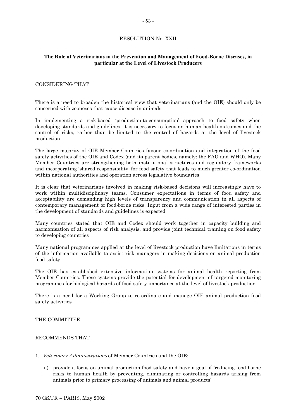### RESOLUTION No. XXII

## **The Role of Veterinarians in the Prevention and Management of Food-Borne Diseases, in particular at the Level of Livestock Producers**

### CONSIDERING THAT

There is a need to broaden the historical view that veterinarians (and the OIE) should only be concerned with zoonoses that cause disease in animals

In implementing a risk-based 'production-to-consumption' approach to food safety when developing standards and guidelines, it is necessary to focus on human health outcomes and the control of risks, rather than be limited to the control of hazards at the level of livestock production

The large majority of OIE Member Countries favour co-ordination and integration of the food safety activities of the OIE and Codex (and its parent bodies, namely: the FAO and WHO). Many Member Countries are strengthening both institutional structures and regulatory frameworks and incorporating 'shared responsibility' for food safety that leads to much greater co-ordination within national authorities and operation across legislative boundaries

It is clear that veterinarians involved in making risk-based decisions will increasingly have to work within multidisciplinary teams. Consumer expectations in terms of food safety and acceptability are demanding high levels of transparency and communication in all aspects of contemporary management of food-borne risks. Input from a wide range of interested parties in the development of standards and guidelines is expected

Many countries stated that OIE and Codex should work together in capacity building and harmonisation of all aspects of risk analysis, and provide joint technical training on food safety to developing countries

Many national programmes applied at the level of livestock production have limitations in terms of the information available to assist risk managers in making decisions on animal production food safety

The OIE has established extensive information systems for animal health reporting from Member Countries. These systems provide the potential for development of targeted monitoring programmes for biological hazards of food safety importance at the level of livestock production

There is a need for a Working Group to co-ordinate and manage OIE animal production food safety activities

#### THE COMMITTEE

#### RECOMMENDS THAT

- 1. Veterinary Administrations of Member Countries and the OIE:
	- a) provide a focus on animal production food safety and have a goal of 'reducing food borne risks to human health by preventing, eliminating or controlling hazards arising from animals prior to primary processing of animals and animal products'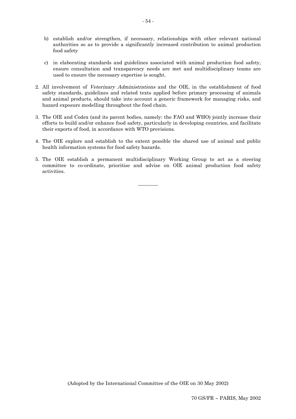- b) establish and/or strengthen, if necessary, relationships with other relevant national authorities so as to provide a significantly increased contribution to animal production food safety
- c) in elaborating standards and guidelines associated with animal production food safety, ensure consultation and transparency needs are met and multidisciplinary teams are used to ensure the necessary expertise is sought.
- 2. All involvement of Veterinary Administrations and the OIE, in the establishment of food safety standards, guidelines and related texts applied before primary processing of animals and animal products, should take into account a generic framework for managing risks, and hazard exposure modelling throughout the food chain.
- 3. The OIE and Codex (and its parent bodies, namely: the FAO and WHO) jointly increase their efforts to build and/or enhance food safety, particularly in developing countries, and facilitate their exports of food, in accordance with WTO provisions.
- 4. The OIE explore and establish to the extent possible the shared use of animal and public health information systems for food safety hazards.
- 5. The OIE establish a permanent multidisciplinary Working Group to act as a steering committee to co-ordinate, prioritise and advise on OIE animal production food safety activities.

 $\overline{\phantom{a}}$   $\overline{\phantom{a}}$